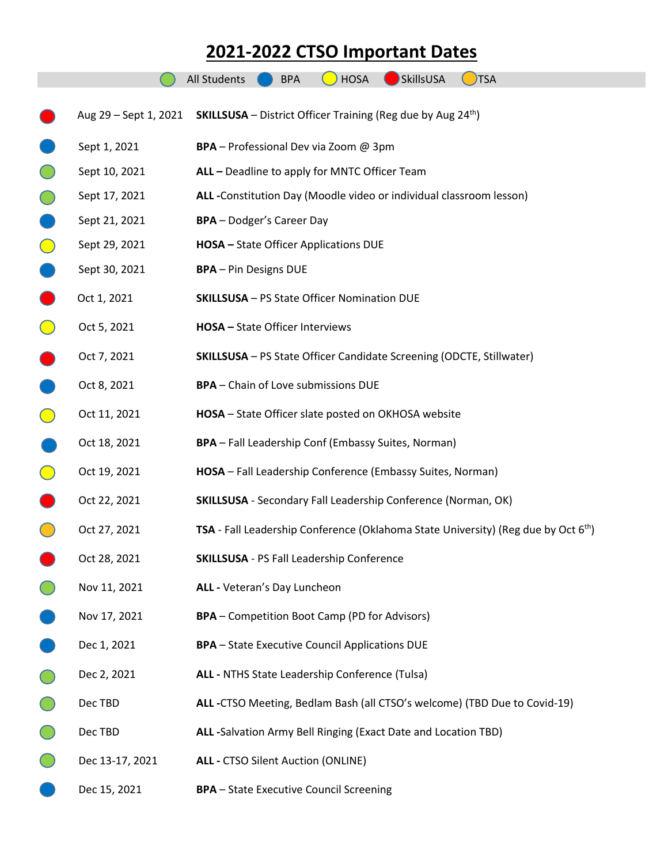## **2021-2022 CTSO Important Dates**

|                       | <b>SkillsUSA</b><br><b>All Students</b><br><b>HOSA</b><br><b>TSA</b><br><b>BPA</b>          |
|-----------------------|---------------------------------------------------------------------------------------------|
|                       |                                                                                             |
| Aug 29 - Sept 1, 2021 | <b>SKILLSUSA</b> – District Officer Training (Reg due by Aug 24 <sup>th</sup> )             |
| Sept 1, 2021          | BPA - Professional Dev via Zoom @ 3pm                                                       |
| Sept 10, 2021         | ALL - Deadline to apply for MNTC Officer Team                                               |
| Sept 17, 2021         | ALL -Constitution Day (Moodle video or individual classroom lesson)                         |
| Sept 21, 2021         | <b>BPA</b> - Dodger's Career Day                                                            |
| Sept 29, 2021         | <b>HOSA</b> - State Officer Applications DUE                                                |
| Sept 30, 2021         | <b>BPA</b> - Pin Designs DUE                                                                |
| Oct 1, 2021           | <b>SKILLSUSA</b> - PS State Officer Nomination DUE                                          |
| Oct 5, 2021           | HOSA - State Officer Interviews                                                             |
| Oct 7, 2021           | SKILLSUSA - PS State Officer Candidate Screening (ODCTE, Stillwater)                        |
| Oct 8, 2021           | <b>BPA</b> - Chain of Love submissions DUE                                                  |
| Oct 11, 2021          | HOSA - State Officer slate posted on OKHOSA website                                         |
| Oct 18, 2021          | <b>BPA</b> - Fall Leadership Conf (Embassy Suites, Norman)                                  |
| Oct 19, 2021          | HOSA - Fall Leadership Conference (Embassy Suites, Norman)                                  |
| Oct 22, 2021          | <b>SKILLSUSA</b> - Secondary Fall Leadership Conference (Norman, OK)                        |
| Oct 27, 2021          | <b>TSA</b> - Fall Leadership Conference (Oklahoma State University) (Reg due by Oct $6th$ ) |
| Oct 28, 2021          | <b>SKILLSUSA</b> - PS Fall Leadership Conference                                            |
| Nov 11, 2021          | ALL - Veteran's Day Luncheon                                                                |
| Nov 17, 2021          | <b>BPA</b> – Competition Boot Camp (PD for Advisors)                                        |
| Dec 1, 2021           | <b>BPA</b> - State Executive Council Applications DUE                                       |
| Dec 2, 2021           | ALL - NTHS State Leadership Conference (Tulsa)                                              |
| Dec TBD               | ALL -CTSO Meeting, Bedlam Bash (all CTSO's welcome) (TBD Due to Covid-19)                   |
| Dec TBD               | ALL -Salvation Army Bell Ringing (Exact Date and Location TBD)                              |
| Dec 13-17, 2021       | <b>ALL - CTSO Silent Auction (ONLINE)</b>                                                   |
| Dec 15, 2021          | <b>BPA</b> - State Executive Council Screening                                              |